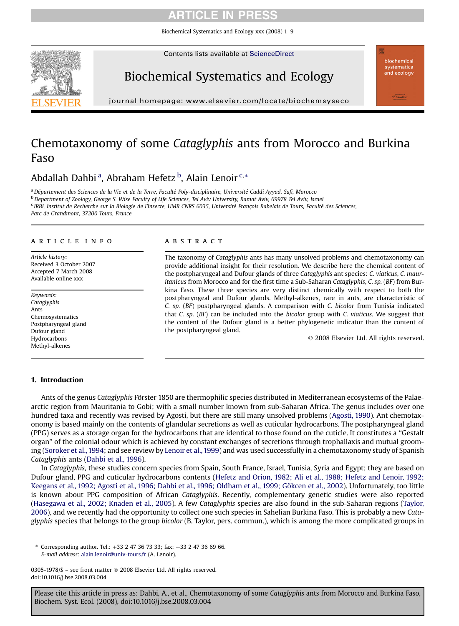Biochemical Systematics and Ecology xxx (2008) 1–9



Contents lists available at [ScienceDirect](www.sciencedirect.com/science/journal/03051978)

# Biochemical Systematics and Ecology



journal homepage: [www.elsevier.com/locate/biochemsyseco](http://www.elsevier.com/locate/biochemsyseco)

# Chemotaxonomy of some Cataglyphis ants from Morocco and Burkina Faso

## Abdallah Dahbi<sup>a</sup>, Abraham Hefetz<sup>b</sup>, Alain Lenoir<sup>c,</sup>\*

<sup>a</sup> Département des Sciences de la Vie et de la Terre, Faculté Poly-disciplinaire, Université Caddi Ayyad, Safi, Morocco <sup>b</sup> Department of Zoology, George S. Wise Faculty of Life Sciences, Tel Aviv University, Ramat Aviv, 69978 Tel Aviv, Israel <sup>c</sup> IRBI, Institut de Recherche sur la Biologie de l'Insecte, UMR CNRS 6035, Université François Rabelais de Tours, Faculté des Sciences, Parc de Grandmont, 37200 Tours, France

### article info

Article history: Received 3 October 2007 Accepted 7 March 2008 Available online xxx

Keywords: Cataglyphis Ants Chemosystematics Postpharyngeal gland Dufour gland Hydrocarbons Methyl-alkenes

### **ABSTRACT**

The taxonomy of Cataglyphis ants has many unsolved problems and chemotaxonomy can provide additional insight for their resolution. We describe here the chemical content of the postpharyngeal and Dufour glands of three Cataglyphis ant species: C. viaticus, C. mauritanicus from Morocco and for the first time a Sub-Saharan Cataglyphis, C. sp. (BF) from Burkina Faso. These three species are very distinct chemically with respect to both the postpharyngeal and Dufour glands. Methyl-alkenes, rare in ants, are characteristic of C. sp. (BF) postpharyngeal glands. A comparison with C. bicolor from Tunisia indicated that C. sp.  $(BF)$  can be included into the *bicolor* group with C. *viaticus*. We suggest that the content of the Dufour gland is a better phylogenetic indicator than the content of the postpharyngeal gland.

- 2008 Elsevier Ltd. All rights reserved.

#### 1. Introduction

Ants of the genus Cataglyphis Förster 1850 are thermophilic species distributed in Mediterranean ecosystems of the Palaearctic region from Mauritania to Gobi; with a small number known from sub-Saharan Africa. The genus includes over one hundred taxa and recently was revised by Agosti, but there are still many unsolved problems ([Agosti, 1990\)](#page-7-0). Ant chemotaxonomy is based mainly on the contents of glandular secretions as well as cuticular hydrocarbons. The postpharyngeal gland (PPG) serves as a storage organ for the hydrocarbons that are identical to those found on the cuticle. It constitutes a ''Gestalt organ'' of the colonial odour which is achieved by constant exchanges of secretions through trophallaxis and mutual grooming [\(Soroker et al., 1994](#page-8-0); and see review by [Lenoir et al., 1999\)](#page-8-0) and was used successfully in a chemotaxonomy study of Spanish Cataglyphis ants ([Dahbi et al., 1996](#page-7-0)).

In Cataglyphis, these studies concern species from Spain, South France, Israel, Tunisia, Syria and Egypt; they are based on Dufour gland, PPG and cuticular hydrocarbons contents ([Hefetz and Orion, 1982; Ali et al., 1988; Hefetz and Lenoir, 1992;](#page-8-0) Keegans et al., 1992; Agosti et al., 1996; Dahbi et al., 1996; Oldham et al., 1999; Gökcen et al., 2002). Unfortunately, too little is known about PPG composition of African Cataglyphis. Recently, complementary genetic studies were also reported ([Hasegawa et al., 2002; Knaden et al., 2005\)](#page-7-0). A few Cataglyphis species are also found in the sub-Saharan regions [\(Taylor,](#page-8-0) [2006](#page-8-0)), and we recently had the opportunity to collect one such species in Sahelian Burkina Faso. This is probably a new Cataglyphis species that belongs to the group bicolor (B. Taylor, pers. commun.), which is among the more complicated groups in

\* Corresponding author. Tel.:  $+33$  2 47 36 73 33; fax:  $+33$  2 47 36 69 66. E-mail address: [alain.lenoir@univ-tours.fr](mailto:alain.lenoir@univ-tours.fr) (A. Lenoir).

0305-1978/\$ – see front matter © 2008 Elsevier Ltd. All rights reserved. doi:10.1016/j.bse.2008.03.004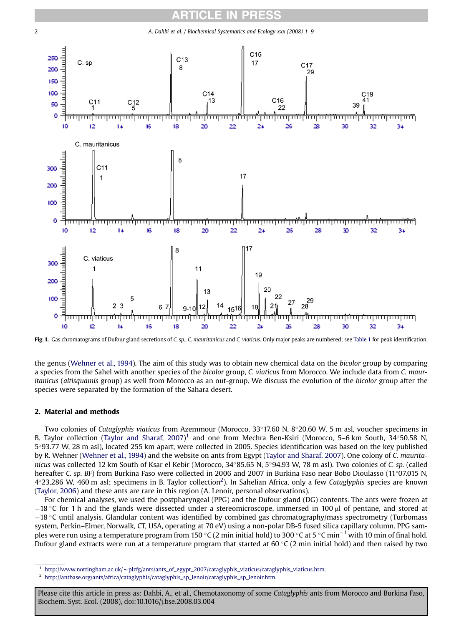<span id="page-1-0"></span>

Fig. 1. Gas chromatograms of Dufour gland secretions of C. sp., C. mauritanicus and C. viaticus. Only major peaks are numbered; see [Table 1](#page-2-0) for peak identification.

the genus ([Wehner et al., 1994](#page-8-0)). The aim of this study was to obtain new chemical data on the bicolor group by comparing a species from the Sahel with another species of the bicolor group, C. viaticus from Morocco. We include data from C. mauritanicus (altisquamis group) as well from Morocco as an out-group. We discuss the evolution of the bicolor group after the species were separated by the formation of the Sahara desert.

#### 2. Material and methods

Two colonies of Cataglyphis viaticus from Azemmour (Morocco, 33°17.60 N, 8°20.60 W, 5 m asl, voucher specimens in B. Taylor collection [\(Taylor and Sharaf, 2007\)](#page-8-0)<sup>1</sup> and one from Mechra Ben-Ksiri (Morocco, 5–6 km South, 34°50.58 N, 5-93.77 W, 28 m asl), located 255 km apart, were collected in 2005. Species identification was based on the key published by R. Wehner ([Wehner et al., 1994](#page-8-0)) and the website on ants from Egypt ([Taylor and Sharaf, 2007\)](#page-8-0). One colony of C. mauritanicus was collected 12 km South of Ksar el Kebir (Morocco, 34°85.65 N, 5°94.93 W, 78 m asl). Two colonies of C. sp. (called hereafter C. sp. BF) from Burkina Faso were collected in 2006 and 2007 in Burkina Faso near Bobo Dioulasso (11°07.015 N, 4°23.286 W, 460 m asl; specimens in B. Taylor collection<sup>2</sup>). In Sahelian Africa, only a few Cataglyphis species are known [\(Taylor, 2006\)](#page-8-0) and these ants are rare in this region (A. Lenoir, personal observations).

For chemical analyses, we used the postpharyngeal (PPG) and the Dufour gland (DG) contents. The ants were frozen at  $-18$  °C for 1 h and the glands were dissected under a stereomicroscope, immersed in 100  $\mu$ l of pentane, and stored at  $-18$  °C until analysis. Glandular content was identified by combined gas chromatography/mass spectrometry (Turbomass system, Perkin–Elmer, Norwalk, CT, USA, operating at 70 eV) using a non-polar DB-5 fused silica capillary column. PPG samples were run using a temperature program from 150 °C (2 min initial hold) to 300 °C at 5 °C min $^{-1}$  with 10 min of final hold. Dufour gland extracts were run at a temperature program that started at 60  $^{\circ}$ C (2 min initial hold) and then raised by two

 $1$  http://www.nottingham.ac.uk/ $\sim$ [plzfg/ants/ants\\_of\\_egypt\\_2007/cataglyphis\\_viaticus/cataglyphis\\_viaticus.htm](http://www.nottingham.ac.uk/%223C%3Bplzfg/ants/ants_of_egypt_2007/cataglyphis_viaticus/cataglyphis_viaticus.htm).

<sup>2</sup> [http://antbase.org/ants/africa/cataglyphis/cataglyphis\\_sp\\_lenoir/cataglyphis\\_sp\\_lenoir.htm.](http://antbase.org/ants/africa/cataglyphis/cataglyphis_sp_lenoir/cataglyphis_sp_lenoir.htm)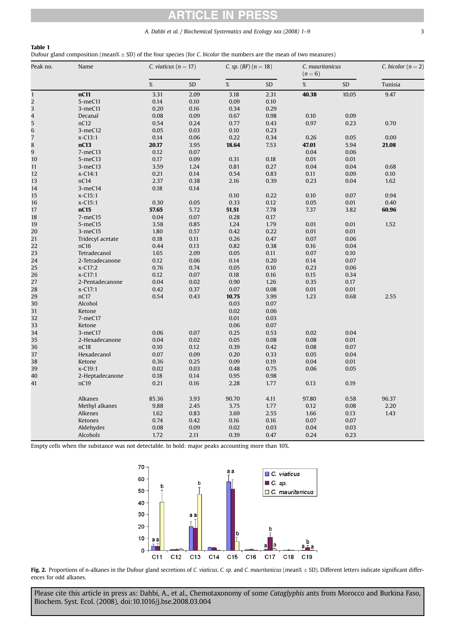#### A. Dahbi et al. / Biochemical Systematics and Ecology xxx (2008) 1–9 3

<span id="page-2-0"></span>Table 1

Dufour gland composition (mean%  $\pm$  SD) of the four species (for C. bicolor the numbers are the mean of two measures)

| Peak no.                | Name             | C. viaticus ( $n = 17$ ) |      | C. sp. (BF) $(n = 18)$ |      | C. mauritanicus<br>$(n=6)$ |       | C. bicolor $(n = 2)$ |
|-------------------------|------------------|--------------------------|------|------------------------|------|----------------------------|-------|----------------------|
|                         |                  | %                        | SD   | $\%$                   | SD   | $\%$                       | SD    | Tunisia              |
| $\mathbf{1}$            | nC11             | 3.31                     | 2.09 | 3.18                   | 2.31 | 40.38                      | 10.05 | 9.47                 |
| $\overline{\mathbf{c}}$ | 5-meC11          | 0.14                     | 0.10 | 0.09                   | 0.10 |                            |       |                      |
| 3                       | 3-meC11          | 0.20                     | 0.16 | 0.34                   | 0.29 |                            |       |                      |
| 4                       | Decanal          | 0.08                     | 0.09 | 0.67                   | 0.98 | 0.10                       | 0.09  |                      |
| 5                       | nC12             | 0.54                     | 0.24 | 0.77                   | 0.43 | 0.97                       | 0.23  | 0.70                 |
| 6                       | 3-meC12          | 0.05                     | 0.03 | 0.10                   | 0.23 |                            |       |                      |
| 7                       | x-C13:1          | 0.14                     | 0.06 | 0.22                   | 0.34 | 0.26                       | 0.05  | 0.00                 |
| 8                       | nC13             | 20.17                    | 3.95 | 18.64                  | 7.53 | 47.01                      | 5.94  | 21.08                |
| 9                       | 7-meC13          | 0.12                     | 0.07 |                        |      | 0.04                       | 0.06  |                      |
| 10                      | $5$ -me $C13$    | 0.17                     | 0.09 | 0.31                   | 0.18 | 0.01                       | 0.01  |                      |
| 11                      | 3-meC13          | 3.59                     | 1.24 | 0.81                   | 0.27 | 0.04                       | 0.04  | 0.68                 |
| 12                      | $x-C14:1$        | 0.21                     | 0.14 | 0.54                   | 0.83 | 0.11                       | 0.09  | 0.10                 |
| 13                      | nC14             | 2.37                     | 0.38 | 2.16                   | 0.39 | 0.23                       | 0.04  | 1.62                 |
| 14                      | 3-meC14          | 0.18                     | 0.14 |                        |      |                            |       |                      |
| 15                      | $x-C15:1$        |                          |      | 0.10                   | 0.22 | 0.10                       | 0.07  | 0.94                 |
| 16                      | $x - C15:1$      | 0.30                     | 0.05 | 0.33                   | 0.12 | 0.05                       | 0.01  | 0.40                 |
| 17                      | nC15             | 57.65                    | 5.72 | 51.51                  | 7.78 | 7.37                       | 3.82  | 60.96                |
| 18                      | 7-meC15          | 0.04                     | 0.07 | 0.28                   | 0.17 |                            |       |                      |
| 19                      | 5-meC15          | 3.58                     | 0.85 | 1.24                   | 1.79 | 0.01                       | 0.01  | 1.52                 |
| 20                      | 3-meC15          | 1.80                     | 0.57 | 0.42                   | 0.22 | 0.01                       | 0.01  |                      |
| 21                      | Tridecyl acetate | 0.18                     | 0.11 | 0.26                   | 0.47 | 0.07                       | 0.06  |                      |
| 22                      | nC16             | 0.44                     | 0.13 | 0.82                   | 0.38 | 0.16                       | 0.04  |                      |
| 23                      | Tetradecanol     | 1.65                     | 2.09 | 0.05                   | 0.11 | 0.07                       | 0.10  |                      |
| 24                      | 2-Tetradecanone  | 0.12                     | 0.06 | 0.14                   | 0.20 | 0.14                       | 0.07  |                      |
| 25                      | x-C17:2          | 0.76                     | 0.74 | 0.05                   | 0.10 | 0.23                       | 0.06  |                      |
| 26                      | $x - C17:1$      | 0.12                     | 0.07 | 0.18                   | 0.16 | 0.15                       | 0.34  |                      |
| 27                      | 2-Pentadecanone  | 0.04                     | 0.02 | 0.90                   | 1.26 | 0.35                       | 0.17  |                      |
| 28                      | $x - C17:1$      | 0.42                     | 0.37 | 0.07                   | 0.08 | 0.01                       | 0.01  |                      |
| 29                      | nC17             | 0.54                     | 0.43 | 10.75                  | 3.99 | 1.23                       | 0.68  | 2.55                 |
| 30                      | Alcohol          |                          |      | 0.03                   | 0.07 |                            |       |                      |
| 31                      | Ketone           |                          |      | 0.02                   | 0.06 |                            |       |                      |
| 32                      | 7-meC17          |                          |      | 0.01                   | 0.03 |                            |       |                      |
| 33                      | Ketone           |                          |      | 0.06                   | 0.07 |                            |       |                      |
| 34                      | 3-meC17          | 0.06                     | 0.07 | 0.25                   | 0.53 | 0.02                       | 0.04  |                      |
| 35                      | 2-Hexadecanone   | 0.04                     | 0.02 | 0.05                   | 0.08 | 0.08                       | 0.01  |                      |
| 36                      | nC18             | 0.10                     | 0.12 | 0.39                   | 0.42 | 0.08                       | 0.07  |                      |
| 37                      | Hexadecanol      | 0.07                     | 0.09 | 0.20                   | 0.33 | 0.05                       | 0.04  |                      |
| 38                      | Ketone           | 0.36                     | 0.25 | 0.09                   | 0.19 | 0.04                       | 0.01  |                      |
| 39                      | x-C19:1          | 0.02                     | 0.03 | 0.48                   | 0.75 | 0.06                       | 0.05  |                      |
| 40                      | 2-Heptadecanone  | 0.18                     | 0.14 | 0.95                   | 0.98 |                            |       |                      |
| 41                      | nC19             | 0.21                     | 0.16 | 2.28                   | 1.77 | 0.13                       | 0.19  |                      |
|                         |                  |                          |      |                        |      |                            |       |                      |
|                         | Alkanes          | 85.36                    | 3.93 | 90.70                  | 4.11 | 97.80                      | 0.58  | 96.37                |
|                         | Methyl alkanes   | 9.88                     | 2.45 | 3.75                   | 1.77 | 0.12                       | 0.08  | 2.20                 |
|                         | Alkenes          | 1.62                     | 0.83 | 3.69                   | 2.55 | 1.66                       | 0.13  | 1.43                 |
|                         | Ketones          | 0.74                     | 0.42 | 0.16                   | 0.16 | 0.07                       | 0.07  |                      |
|                         | Aldehydes        | 0.08                     | 0.09 | 0.02                   | 0.03 | 0.04                       | 0.03  |                      |
|                         | Alcohols         | 1.72                     | 2.11 | 0.39                   | 0.47 | 0.24                       | 0.23  |                      |

Empty cells when the substance was not detectable. In bold: major peaks accounting more than 10%.



Fig. 2. Proportions of n-alkanes in the Dufour gland secretions of C. viaticus, C. sp. and C. mauritanicus (mean%  $\pm$  SD). Different letters indicate significant differences for odd alkanes.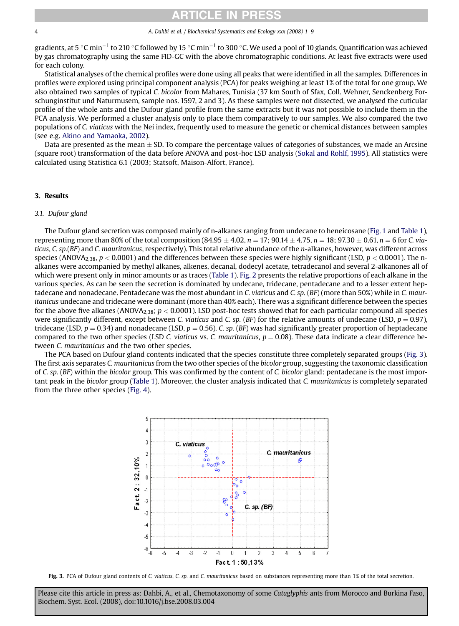#### 4 A. Dahbi et al. / Biochemical Systematics and Ecology xxx (2008) 1–9

gradients, at 5 °C min $^{-1}$  to 210 °C followed by 15 °C min $^{-1}$  to 300 °C. We used a pool of 10 glands. Quantification was achieved by gas chromatography using the same FID-GC with the above chromatographic conditions. At least five extracts were used for each colony.

Statistical analyses of the chemical profiles were done using all peaks that were identified in all the samples. Differences in profiles were explored using principal component analysis (PCA) for peaks weighing at least 1% of the total for one group. We also obtained two samples of typical C. bicolor from Mahares, Tunisia (37 km South of Sfax, Coll. Wehner, Senckenberg Forschunginstitut und Naturmusem, sample nos. 1597, 2 and 3). As these samples were not dissected, we analysed the cuticular profile of the whole ants and the Dufour gland profile from the same extracts but it was not possible to include them in the PCA analysis. We performed a cluster analysis only to place them comparatively to our samples. We also compared the two populations of C. viaticus with the Nei index, frequently used to measure the genetic or chemical distances between samples (see e.g. [Akino and Yamaoka, 2002\)](#page-7-0).

Data are presented as the mean  $\pm$  SD. To compare the percentage values of categories of substances, we made an Arcsine (square root) transformation of the data before ANOVA and post-hoc LSD analysis [\(Sokal and Rohlf, 1995\)](#page-8-0). All statistics were calculated using Statistica 6.1 (2003; Statsoft, Maison-Alfort, France).

#### 3. Results

#### 3.1. Dufour gland

The Dufour gland secretion was composed mainly of n-alkanes ranging from undecane to heneicosane [\(Fig. 1](#page-1-0) and [Table 1](#page-2-0)), representing more than 80% of the total composition  $(84.95 \pm 4.02, n = 17; 90.14 \pm 4.75, n = 18; 97.30 \pm 0.61, n = 6$  for C. viaticus, C. sp.(BF) and C. mauritanicus, respectively). This total relative abundance of the n-alkanes, however, was different across species (ANOVA<sub>2,38</sub>,  $p < 0.0001$ ) and the differences between these species were highly significant (LSD,  $p < 0.0001$ ). The nalkanes were accompanied by methyl alkanes, alkenes, decanal, dodecyl acetate, tetradecanol and several 2-alkanones all of which were present only in minor amounts or as traces [\(Table 1\)](#page-2-0). [Fig. 2](#page-2-0) presents the relative proportions of each alkane in the various species. As can be seen the secretion is dominated by undecane, tridecane, pentadecane and to a lesser extent heptadecane and nonadecane. Pentadecane was the most abundant in C. viaticus and C. sp. (BF) (more than 50%) while in C. mauritanicus undecane and tridecane were dominant (more than 40% each). There was a significant difference between the species for the above five alkanes (ANOVA<sub>2,38</sub>;  $p < 0.0001$ ). LSD post-hoc tests showed that for each particular compound all species were significantly different, except between C. viaticus and C. sp. (BF) for the relative amounts of undecane (LSD,  $p = 0.97$ ), tridecane (LSD,  $p = 0.34$ ) and nonadecane (LSD,  $p = 0.56$ ). C. sp. (BF) was had significantly greater proportion of heptadecane compared to the two other species (LSD C. viaticus vs. C. mauritanicus,  $p = 0.08$ ). These data indicate a clear difference between C. mauritanicus and the two other species.

The PCA based on Dufour gland contents indicated that the species constitute three completely separated groups (Fig. 3). The first axis separates C. mauritanicus from the two other species of the bicolor group, suggesting the taxonomic classification of C. sp. (BF) within the bicolor group. This was confirmed by the content of C. bicolor gland: pentadecane is the most important peak in the bicolor group [\(Table 1\)](#page-2-0). Moreover, the cluster analysis indicated that C. mauritanicus is completely separated from the three other species [\(Fig. 4\)](#page-4-0).



Fig. 3. PCA of Dufour gland contents of C. viaticus, C. sp. and C. mauritanicus based on substances representing more than 1% of the total secretion.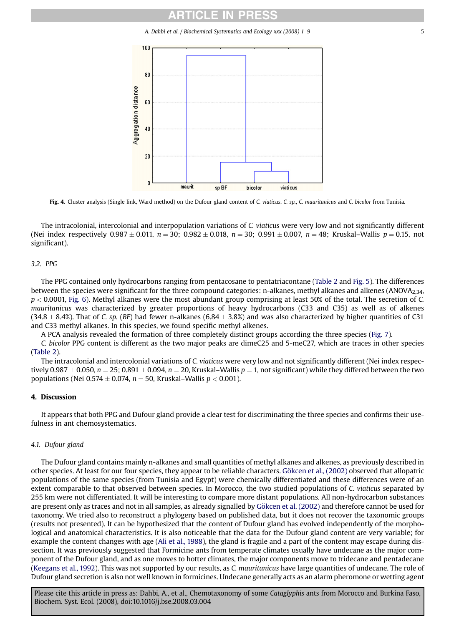A. Dahbi et al. / Biochemical Systematics and Ecology xxx (2008) 1–9 5

<span id="page-4-0"></span>

Fig. 4. Cluster analysis (Single link, Ward method) on the Dufour gland content of C. viaticus, C. sp., C. mauritanicus and C. bicolor from Tunisia.

The intracolonial, intercolonial and interpopulation variations of C. viaticus were very low and not significantly different (Nei index respectively  $0.987 \pm 0.011$ ,  $n = 30$ ;  $0.982 \pm 0.018$ ,  $n = 30$ ;  $0.991 \pm 0.007$ ,  $n = 48$ ; Kruskal–Wallis  $p = 0.15$ , not significant).

#### 3.2. PPG

The PPG contained only hydrocarbons ranging from pentacosane to pentatriacontane ([Table 2](#page-5-0) and [Fig. 5\)](#page-6-0). The differences between the species were significant for the three compound categories: n-alkanes, methyl alkanes and alkenes (ANOVA<sub>2.34</sub>,  $p < 0.0001$ , [Fig. 6](#page-6-0)). Methyl alkanes were the most abundant group comprising at least 50% of the total. The secretion of C. mauritanicus was characterized by greater proportions of heavy hydrocarbons (C33 and C35) as well as of alkenes  $(34.8 \pm 8.4\%)$ . That of C. sp. (BF) had fewer n-alkanes  $(6.84 \pm 3.8\%)$  and was also characterized by higher quantities of C31 and C33 methyl alkanes. In this species, we found specific methyl alkenes.

A PCA analysis revealed the formation of three completely distinct groups according the three species ([Fig. 7\)](#page-7-0).

C. bicolor PPG content is different as the two major peaks are dimeC25 and 5-meC27, which are traces in other species ([Table 2\)](#page-5-0).

The intracolonial and intercolonial variations of C. viaticus were very low and not significantly different (Nei index respectively 0.987  $\pm$  0.050, n = 25; 0.891  $\pm$  0.094, n = 20, Kruskal–Wallis p = 1, not significant) while they differed between the two populations (Nei 0.574  $\pm$  0.074, n = 50, Kruskal–Wallis p < 0.001).

#### 4. Discussion

It appears that both PPG and Dufour gland provide a clear test for discriminating the three species and confirms their usefulness in ant chemosystematics.

#### 4.1. Dufour gland

The Dufour gland contains mainly n-alkanes and small quantities of methyl alkanes and alkenes, as previously described in other species. At least for our four species, they appear to be reliable characters. Gökcen et al., (2002) observed that allopatric populations of the same species (from Tunisia and Egypt) were chemically differentiated and these differences were of an extent comparable to that observed between species. In Morocco, the two studied populations of C. viaticus separated by 255 km were not differentiated. It will be interesting to compare more distant populations. All non-hydrocarbon substances are present only as traces and not in all samples, as already signalled by Gökcen et al. (2002) and therefore cannot be used for taxonomy. We tried also to reconstruct a phylogeny based on published data, but it does not recover the taxonomic groups (results not presented). It can be hypothesized that the content of Dufour gland has evolved independently of the morphological and anatomical characteristics. It is also noticeable that the data for the Dufour gland content are very variable; for example the content changes with age ([Ali et al., 1988](#page-7-0)), the gland is fragile and a part of the content may escape during dissection. It was previously suggested that Formicine ants from temperate climates usually have undecane as the major component of the Dufour gland, and as one moves to hotter climates, the major components move to tridecane and pentadecane ([Keegans et al., 1992\)](#page-8-0). This was not supported by our results, as C. mauritanicus have large quantities of undecane. The role of Dufour gland secretion is also not well known in formicines. Undecane generally acts as an alarm pheromone or wetting agent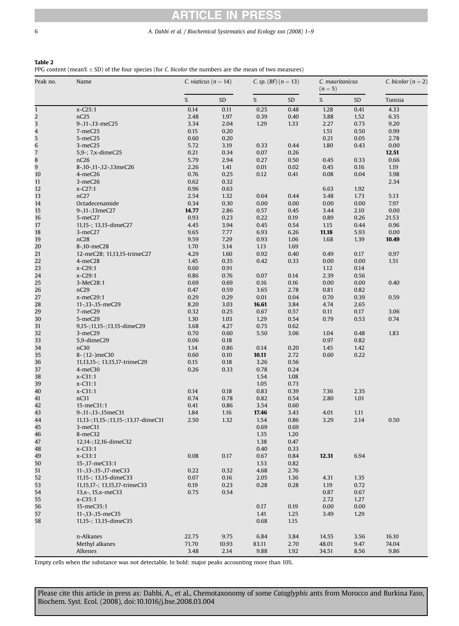<span id="page-5-0"></span>6 A. Dahbi et al. / Biochemical Systematics and Ecology xxx (2008) 1–9

#### Table 2

PPG content (mean $\% \pm SD$ ) of the four species (for C. bicolor the numbers are the mean of two measures)

| Peak no.                | Name                                    | C. viaticus ( $n = 14$ ) |              | C. sp. (BF) $(n = 13)$ |              | C. mauritanicus<br>$(n=5)$ |              | C. bicolor $(n=2)$ |
|-------------------------|-----------------------------------------|--------------------------|--------------|------------------------|--------------|----------------------------|--------------|--------------------|
|                         |                                         | $\%$                     | SD           | $\%$                   | SD           | $\%$                       | SD           | Tunisia            |
| $\mathbf{1}$            | $x-C25:1$                               | 0.14                     | 0.11         | 0.25                   | 0.48         | 1.28                       | 0.41         | 4.33               |
| $\overline{\mathbf{c}}$ | nC25                                    | 2.48                     | 1.97         | 0.39                   | 0.40         | 3.88                       | 1.52         | 6.35               |
| 3                       | 9-,11-,13-meC25                         | 3.34                     | 2.04         | 1.29                   | 1.33         | 2.27                       | 0.73         | 9.20               |
| 4                       | 7-meC25                                 | 0.15                     | 0.20         |                        |              | 1.51                       | 0.50         | 0.99               |
| 5                       | 5-meC25                                 | 0.60                     | 0.20         |                        |              | 0.21                       | 0.05         | 2.78               |
| 6                       | $3$ -me $C25$                           | 5.72                     | 3.19         | 0.33                   | 0.44         | 1.80                       | 0.43         | 0.00               |
| 7                       | 5,9-; 7,x-dimeC25                       | 0.21                     | 0.34         | 0.07                   | 0.26         |                            |              | 12.51              |
| 8                       | nC26                                    | 5.79                     | 2.94         | 0.27                   | 0.50         | 0.45                       | 0.33         | 0.66               |
| 9                       | 8-,10-,11-,12-,13meC26                  | 2.26                     | 1.41         | 0.01                   | 0.02         | 0.45                       | 0.16         | 1.19               |
| 10                      | 4-meC26                                 | 0.76                     | 0.25         | 0.12                   | 0.41         | 0.08                       | 0.04         | 3.98               |
| 11                      | 3-meC26                                 | 0.62                     | 0.32         |                        |              |                            |              | 2.34               |
| 12                      | $x-C27:1$                               | 0.96                     | 0.63         |                        |              | 6.63                       | 1.92         |                    |
| 13                      | nC27                                    | 2.54                     | 1.32         | 0.64                   | 0.44         | 3.48                       | 1.73         | 5.13               |
| 14<br>15                | Octadecenamide<br>9-,11-,13meC27        | 0.34<br>14.77            | 0.30<br>2.86 | 0.00<br>0.57           | 0.00<br>0.45 | 0.00<br>3.44               | 0.00<br>2.10 | 7.97<br>0.00       |
| 16                      | 5-meC27                                 | 0.93                     | 0.23         | 0.22                   | 0.19         | 0.89                       | 0.26         | 21.53              |
| 17                      | 11,15-; 13,15-dimeC27                   | 4.45                     | 3.94         | 0.45                   | 0.54         | 1.15                       | 0.44         | 0.96               |
| 18                      | 3-meC27                                 | 9.65                     | 7.77         | 6.93                   | 6.26         | 11.18                      | 5.93         | 0.00               |
| 19                      | nC28                                    | 9.59                     | 7.29         | 0.93                   | 1.06         | 1.68                       | 1.39         | 10.49              |
| 20                      | 8-,10-meC28                             | 1.70                     | 3.14         | 1.13                   | 1.69         |                            |              |                    |
| 21                      | 12-meC28; 11,13,15-trimeC27             | 4.29                     | 1.60         | 0.92                   | 0.40         | 0.49                       | 0.17         | 0.97               |
| 22                      | 4-meC28                                 | 1.45                     | 0.35         | 0.42                   | 0.33         | 0.00                       | 0.00         | 1.51               |
| 23                      | $x-C29:1$                               | 0.60                     | 0.91         |                        |              | 1.12                       | 0.14         |                    |
| 24                      | x-C29:1                                 | 0.86                     | 0.76         | 0.07                   | 0.14         | 2.39                       | 0.56         |                    |
| 25                      | 3-MeC28:1                               | 0.69                     | 0.69         | 0.16                   | 0.16         | 0.00                       | 0.00         | 0.40               |
| 26                      | nC29                                    | 0.47                     | 0.59         | 3.65                   | 2.78         | 0.81                       | 0.82         |                    |
| 27                      | $x$ -me $C29:1$                         | 0.29                     | 0.29         | 0.01                   | 0.04         | 0.70                       | 0.39         | 0.59               |
| 28                      | 11-,13-,15-meC29                        | 8.20                     | 3.03         | 16.61                  | 3.84         | 4.74                       | 2.65         |                    |
| 29                      | 7-meC29                                 | 0.32                     | 0.25         | 0.67                   | 0.57         | 0.11                       | 0.17         | 3.06               |
| 30                      | 5-meC29                                 | 1.30                     | 1.03         | 1.29                   | 0.54         | 0.79                       | 0.53         | 0.74               |
| 31                      | 9,15-;11,15-;13,15-dimeC29              | 3.68                     | 4.27         | 0.75                   | 0.62         |                            |              |                    |
| 32                      | 3-meC29                                 | 0.70                     | 0.60         | 5.50                   | 3.06         | 1.04                       | 0.48         | 1.83               |
| 33                      | 5,9-dimeC29                             | 0.06                     | 0.18         |                        |              | 0.97                       | 0.82         |                    |
| 34                      | nC30                                    | 1.14                     | 0.86         | 0.14                   | 0.20         | 1.45                       | 1.42         |                    |
| 35                      | 8- (12-)meC30                           | 0.60                     | 0.10         | 10.11                  | 2.72         | 0.60                       | 0.22         |                    |
| 36<br>37                | 11,13,15-; 13,15,17-trimeC29<br>4-meC30 | 0.15<br>0.26             | 0.18<br>0.33 | 3.26<br>0.78           | 0.56<br>0.24 |                            |              |                    |
| 38                      | $x-C31:1$                               |                          |              | 1.54                   | 1.08         |                            |              |                    |
| 39                      | x-C31:1                                 |                          |              | 1.05                   | 0.73         |                            |              |                    |
| 40                      | x-C31:1                                 | 0.14                     | 0.18         | 0.83                   | 0.39         | 7.36                       | 2.35         |                    |
| 41                      | nC31                                    | 0.74                     | 0.78         | 0.82                   | 0.54         | 2.80                       | 1.01         |                    |
| 42                      | 15-meC31:1                              | 0.41                     | 0.86         | 3.54                   | 0.60         |                            |              |                    |
| 43                      | 9-,11-,13-,15meC31                      | 1.84                     | 1.16         | 17.46                  | 3.43         | 4.01                       | 1.11         |                    |
| 44                      | 11,13-;11,15-;13,15-;13,17-dimeC31      | 2.50                     | 1.32         | 1.54                   | 0.86         | 3.29                       | 2.14         | 0.50               |
| 45                      | $3$ -me $C31$                           |                          |              | 0.69                   | 0.69         |                            |              |                    |
| 46                      | 8-meC32                                 |                          |              | 1.35                   | 1.20         |                            |              |                    |
| 47                      | 12,14-;12,16-dimeC32                    |                          |              | 1.38                   | 0.47         |                            |              |                    |
| 48                      | $x-C33:1$                               |                          |              | 0.40                   | 0.33         |                            |              |                    |
| 49                      | $x-C33:1$                               | 0.08                     | 0.17         | 0.67                   | 0.84         | 12.31                      | 6.94         |                    |
| 50                      | 15-,17-meC33:1                          |                          |              | 1.53                   | 0.82         |                            |              |                    |
| 51                      | 11-,13-,15-,17-meC33                    | 0.22                     | 0.32         | 4.68                   | 2.76         |                            |              |                    |
| 52                      | 11,15-; 13,15-dimeC33                   | 0.07                     | 0.16         | 2.05                   | 1.36         | 4.31                       | 1.35         |                    |
| 53                      | 11,15,17-; 13,15,17-trimeC33            | 0.19                     | 0.23         | 0.28                   | 0.28         | 1.19                       | 0.72         |                    |
| 54                      | 13, x-, 15, x-meC33                     | 0.75                     | 0.54         |                        |              | 0.87                       | 0.67         |                    |
| 55                      | x-C35:1                                 |                          |              |                        |              | 2.72                       | 1.27         |                    |
| 56                      | 15-meC35:1                              |                          |              | 0.17                   | 0.19         | 0.00                       | 0.00         |                    |
| 57                      | 11-,13-,15-meC35                        |                          |              | 1.41                   | 1.25         | 3.49                       | 1.29         |                    |
| 58                      | 11,15-; 13,15-dimeC35                   |                          |              | 0.68                   | 1.15         |                            |              |                    |
|                         | n-Alkanes                               | 22.75                    | 9.75         | 6.84                   | 3.84         | 14.55                      | 3.56         | 16.10              |
|                         | Methyl alkanes                          | 71.70                    | 10.93        | 83.11                  | 2.70         | 48.01                      | 9.47         | 74.04              |
|                         | Alkenes                                 | 3.48                     | 2.14         | 9.88                   | 1.92         | 34.51                      | 8.56         | 9.86               |

Empty cells when the substance was not detectable. In bold: major peaks accounting more than 10%.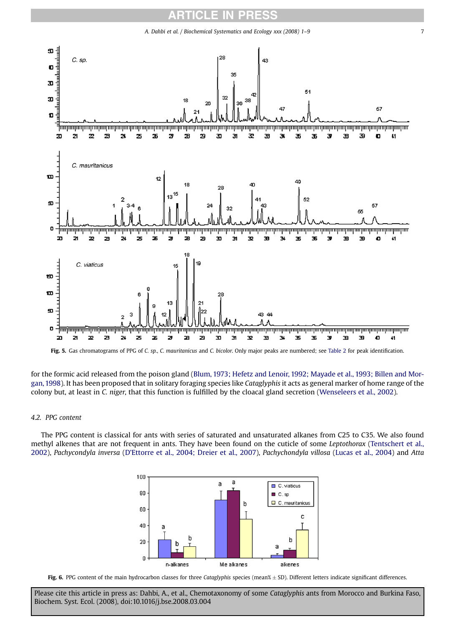A. Dahbi et al. / Biochemical Systematics and Ecology xxx (2008) 1–9 7

<span id="page-6-0"></span>

Fig. 5. Gas chromatograms of PPG of C. sp., C. mauritanicus and C. bicolor. Only major peaks are numbered; see [Table 2](#page-5-0) for peak identification.

for the formic acid released from the poison gland ([Blum, 1973; Hefetz and Lenoir, 1992; Mayade et al., 1993; Billen and Mor](#page-7-0)[gan, 1998](#page-7-0)). It has been proposed that in solitary foraging species like Cataglyphis it acts as general marker of home range of the colony but, at least in C. niger, that this function is fulfilled by the cloacal gland secretion [\(Wenseleers et al., 2002](#page-8-0)).

#### 4.2. PPG content

The PPG content is classical for ants with series of saturated and unsaturated alkanes from C25 to C35. We also found methyl alkenes that are not frequent in ants. They have been found on the cuticle of some Leptothorax ([Tentschert et al.,](#page-8-0) [2002](#page-8-0)), Pachycondyla inversa [\(D'Ettorre et al., 2004; Dreier et al., 2007\)](#page-7-0), Pachychondyla villosa ([Lucas et al., 2004\)](#page-8-0) and Atta



Fig. 6. PPG content of the main hydrocarbon classes for three Cataglyphis species (mean% ± SD). Different letters indicate significant differences.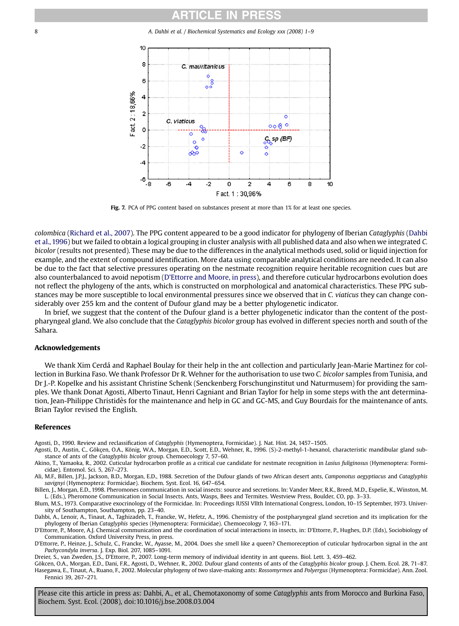<span id="page-7-0"></span>8 A. Dahbi et al. / Biochemical Systematics and Ecology xxx (2008) 1–9



Fig. 7. PCA of PPG content based on substances present at more than 1% for at least one species.

colombica ([Richard et al., 2007\)](#page-8-0). The PPG content appeared to be a good indicator for phylogeny of Iberian Cataglyphis (Dahbi et al., 1996) but we failed to obtain a logical grouping in cluster analysis with all published data and also when we integrated C. bicolor (results not presented). These may be due to the differences in the analytical methods used, solid or liquid injection for example, and the extent of compound identification. More data using comparable analytical conditions are needed. It can also be due to the fact that selective pressures operating on the nestmate recognition require heritable recognition cues but are also counterbalanced to avoid nepotism (D'Ettorre and Moore, in press), and therefore cuticular hydrocarbons evolution does not reflect the phylogeny of the ants, which is constructed on morphological and anatomical characteristics. These PPG substances may be more susceptible to local environmental pressures since we observed that in C. viaticus they can change considerably over 255 km and the content of Dufour gland may be a better phylogenetic indicator.

In brief, we suggest that the content of the Dufour gland is a better phylogenetic indicator than the content of the postpharyngeal gland. We also conclude that the Cataglyphis bicolor group has evolved in different species north and south of the Sahara.

#### Acknowledgements

We thank Xim Cerdá and Raphael Boulay for their help in the ant collection and particularly Jean-Marie Martinez for collection in Burkina Faso. We thank Professor Dr R. Wehner for the authorisation to use two C. bicolor samples from Tunisia, and Dr J.-P. Kopelke and his assistant Christine Schenk (Senckenberg Forschunginstitut und Naturmusem) for providing the samples. We thank Donat Agosti, Alberto Tinaut, Henri Cagniant and Brian Taylor for help in some steps with the ant determination, Jean-Philippe Christides for the maintenance and help in GC and GC-MS, and Guy Bourdais for the maintenance of ants. Brian Taylor revised the English.

#### References

Agosti, D., 1990. Review and reclassification of Cataglyphis (Hymenoptera, Formicidae). J. Nat. Hist. 24, 1457–1505.

Agosti, D., Austin, C., Gökçen, O.A., König, W.A., Morgan, E.D., Scott, E.D., Wehner, R., 1996. (S)-2-methyl-1-hexanol, characteristic mandibular gland substance of ants of the Cataglyphis bicolor group. Chemoecology 7, 57–60.

Akino, T., Yamaoka, R., 2002. Cuticular hydrocarbon profile as a critical cue candidate for nestmate recognition in Lasius fuliginosus (Hymenoptera: Formicidae). Entomol. Sci. 5, 267–273.

Ali, M.F., Billen, J.P.J., Jackson, B.D., Morgan, E.D., 1988. Secretion of the Dufour glands of two African desert ants, Camponotus aegyptiacus and Cataglyphis savignyi (Hymenoptera: Formicidae). Biochem. Syst. Ecol. 16, 647–654.

Billen, J., Morgan, E.D., 1998. Pheromones communication in social insects: source and secretions. In: Vander Meer, R.K., Breed, M.D., Espelie, K., Winston, M. L. (Eds.), Pheromone Communication in Social Insects. Ants, Wasps, Bees and Termites. Westview Press, Boulder, CO, pp. 3–33.

Blum, M.S., 1973. Comparative exocrinology of the Formicidae. In: Proceedings IUSSI VIIth International Congress, London, 10–15 September, 1973. University of Southampton, Southampton, pp. 23–40.

Dahbi, A., Lenoir, A., Tinaut, A., Taghizadeh, T., Francke, W., Hefetz, A., 1996. Chemistry of the postpharyngeal gland secretion and its implication for the phylogeny of Iberian Cataglyphis species (Hymenoptera: Formicidae). Chemoecology 7, 163–171.

D'Ettorre, P., Moore, A.J. Chemical communication and the coordination of social interactions in insects, in: D'Ettorre, P., Hughes, D.P. (Eds), Sociobiology of Communication. Oxford University Press, in press.

D'Ettorre, P., Heinze, J., Schulz, C., Francke, W., Ayasse, M., 2004. Does she smell like a queen? Chemoreception of cuticular hydrocarbon signal in the ant Pachycondyla inversa. J. Exp. Biol. 207, 1085–1091.

Dreier, S., van Zweden, J.S., D'Ettorre, P., 2007. Long-term memory of individual identity in ant queens. Biol. Lett. 3, 459–462.

Gökcen, O.A., Morgan, E.D., Dani, F.R., Agosti, D., Wehner, R., 2002. Dufour gland contents of ants of the Cataglyphis bicolor group. J. Chem. Ecol. 28, 71-87. Hasegawa, E., Tinaut, A., Ruano, F., 2002. Molecular phylogeny of two slave-making ants: Rossomyrmex and Polyergus (Hymenoptera: Formicidae). Ann. Zool. Fennici 39, 267–271.